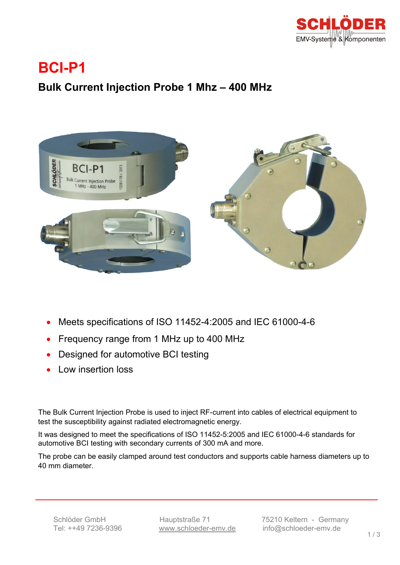

## **BCI-P1**

### **Bulk Current Injection Probe 1 Mhz – 400 MHz**



- Meets specifications of ISO 11452-4:2005 and IEC 61000-4-6
- Frequency range from 1 MHz up to 400 MHz
- Designed for automotive BCI testing
- Low insertion loss

The Bulk Current Injection Probe is used to inject RF-current into cables of electrical equipment to test the susceptibility against radiated electromagnetic energy.

It was designed to meet the specifications of ISO 11452-5:2005 and IEC 61000-4-6 standards for automotive BCI testing with secondary currents of 300 mA and more.

The probe can be easily clamped around test conductors and supports cable harness diameters up to 40 mm diameter.

Ξ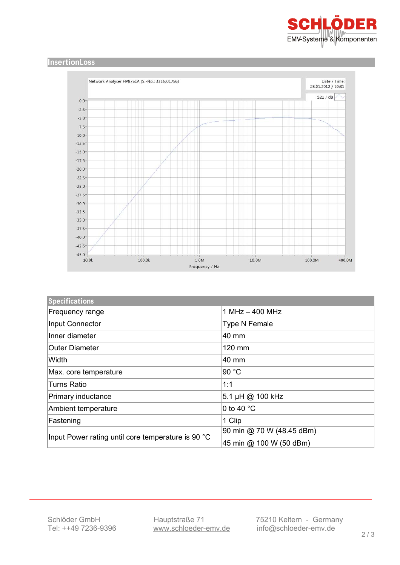

#### **InsertionLoss**



| <b>Specifications</b>                              |                                                      |
|----------------------------------------------------|------------------------------------------------------|
| Frequency range                                    | $1$ MHz $-$ 400 MHz                                  |
| Input Connector                                    | Type N Female                                        |
| Inner diameter                                     | 40 mm                                                |
| lOuter Diameter                                    | 120 mm                                               |
| Width                                              | 40 mm                                                |
| Max. core temperature                              | 90 °C                                                |
| <b>Turns Ratio</b>                                 | 1:1                                                  |
| Primary inductance                                 | 5.1 µH @ 100 kHz                                     |
| Ambient temperature                                | 0 to 40 $^{\circ}$ C                                 |
| Fastening                                          | 1 Clip                                               |
| Input Power rating until core temperature is 90 °C | 90 min @ 70 W (48.45 dBm)<br>45 min @ 100 W (50 dBm) |

Ξ